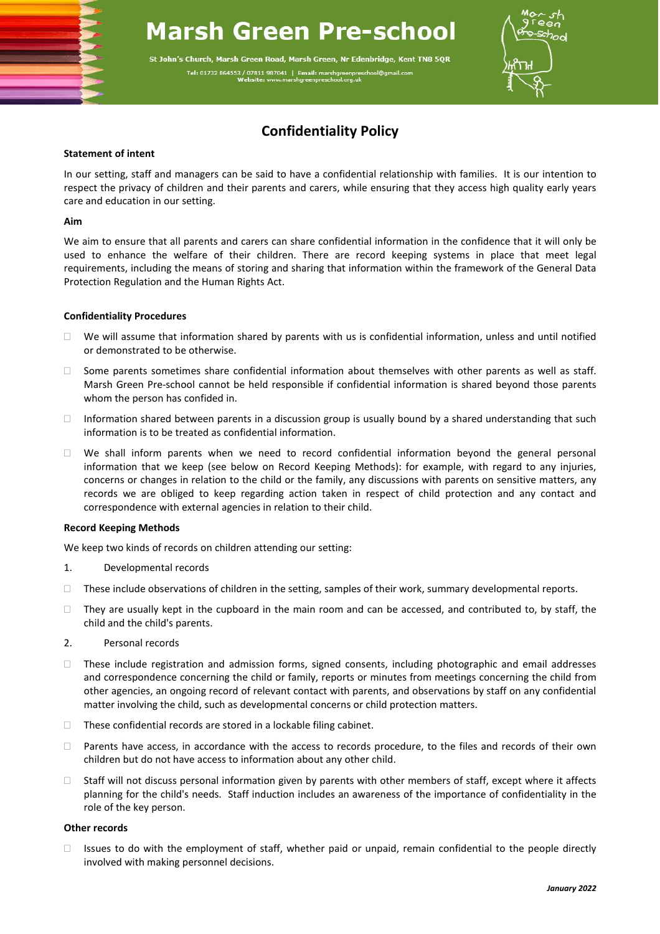# **Marsh Green Pre-school**

St John's Church. Marsh Green Road. Marsh Green. Nr Edenbridge. Kent TN8 5OR Tel: 01732 864553 / 07811 987041 | E



## **Confidentiality Policy**

#### **Statement of intent**

In our setting, staff and managers can be said to have a confidential relationship with families. It is our intention to respect the privacy of children and their parents and carers, while ensuring that they access high quality early years care and education in our setting.

#### **Aim**

We aim to ensure that all parents and carers can share confidential information in the confidence that it will only be used to enhance the welfare of their children. There are record keeping systems in place that meet legal requirements, including the means of storing and sharing that information within the framework of the General Data Protection Regulation and the Human Rights Act.

### **Confidentiality Procedures**

- $\Box$  We will assume that information shared by parents with us is confidential information, unless and until notified or demonstrated to be otherwise.
- $\Box$  Some parents sometimes share confidential information about themselves with other parents as well as staff. Marsh Green Pre-school cannot be held responsible if confidential information is shared beyond those parents whom the person has confided in.
- Information shared between parents in a discussion group is usually bound by a shared understanding that such information is to be treated as confidential information.
- $\Box$  We shall inform parents when we need to record confidential information beyond the general personal information that we keep (see below on Record Keeping Methods): for example, with regard to any injuries, concerns or changes in relation to the child or the family, any discussions with parents on sensitive matters, any records we are obliged to keep regarding action taken in respect of child protection and any contact and correspondence with external agencies in relation to their child.

### **Record Keeping Methods**

We keep two kinds of records on children attending our setting:

- 1. Developmental records
- $\Box$  These include observations of children in the setting, samples of their work, summary developmental reports.
- $\Box$  They are usually kept in the cupboard in the main room and can be accessed, and contributed to, by staff, the child and the child's parents.
- 2. Personal records
- These include registration and admission forms, signed consents, including photographic and email addresses and correspondence concerning the child or family, reports or minutes from meetings concerning the child from other agencies, an ongoing record of relevant contact with parents, and observations by staff on any confidential matter involving the child, such as developmental concerns or child protection matters.
- $\Box$  These confidential records are stored in a lockable filing cabinet.
- Parents have access, in accordance with the access to records procedure, to the files and records of their own children but do not have access to information about any other child.
- $\Box$  Staff will not discuss personal information given by parents with other members of staff, except where it affects planning for the child's needs. Staff induction includes an awareness of the importance of confidentiality in the role of the key person.

### **Other records**

 $\Box$  Issues to do with the employment of staff, whether paid or unpaid, remain confidential to the people directly involved with making personnel decisions.